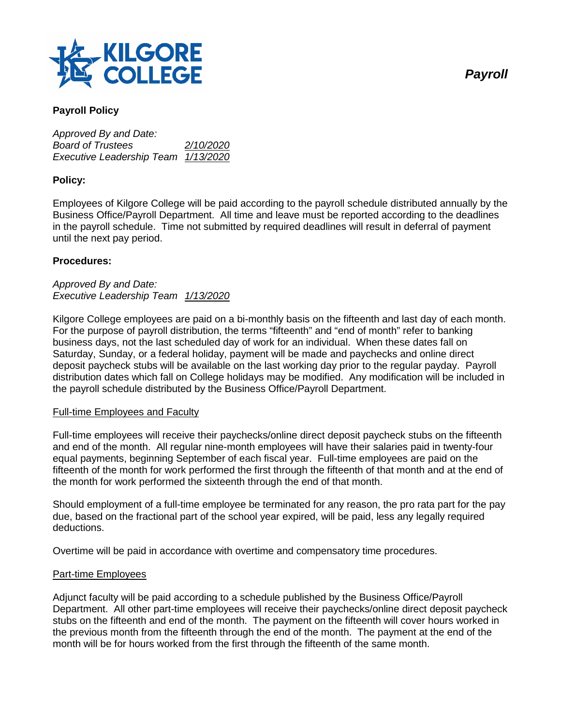

# **Payroll Policy**

*Approved By and Date: Board of Trustees 2/10/2020 Executive Leadership Team 1/13/2020*

# **Policy:**

Employees of Kilgore College will be paid according to the payroll schedule distributed annually by the Business Office/Payroll Department. All time and leave must be reported according to the deadlines in the payroll schedule. Time not submitted by required deadlines will result in deferral of payment until the next pay period.

### **Procedures:**

### *Approved By and Date: Executive Leadership Team 1/13/2020*

Kilgore College employees are paid on a bi-monthly basis on the fifteenth and last day of each month. For the purpose of payroll distribution, the terms "fifteenth" and "end of month" refer to banking business days, not the last scheduled day of work for an individual. When these dates fall on Saturday, Sunday, or a federal holiday, payment will be made and paychecks and online direct deposit paycheck stubs will be available on the last working day prior to the regular payday. Payroll distribution dates which fall on College holidays may be modified. Any modification will be included in the payroll schedule distributed by the Business Office/Payroll Department.

### Full-time Employees and Faculty

Full-time employees will receive their paychecks/online direct deposit paycheck stubs on the fifteenth and end of the month. All regular nine-month employees will have their salaries paid in twenty-four equal payments, beginning September of each fiscal year. Full-time employees are paid on the fifteenth of the month for work performed the first through the fifteenth of that month and at the end of the month for work performed the sixteenth through the end of that month.

Should employment of a full-time employee be terminated for any reason, the pro rata part for the pay due, based on the fractional part of the school year expired, will be paid, less any legally required deductions.

Overtime will be paid in accordance with overtime and compensatory time procedures.

### Part-time Employees

Adjunct faculty will be paid according to a schedule published by the Business Office/Payroll Department. All other part-time employees will receive their paychecks/online direct deposit paycheck stubs on the fifteenth and end of the month. The payment on the fifteenth will cover hours worked in the previous month from the fifteenth through the end of the month. The payment at the end of the month will be for hours worked from the first through the fifteenth of the same month.

*Payroll*